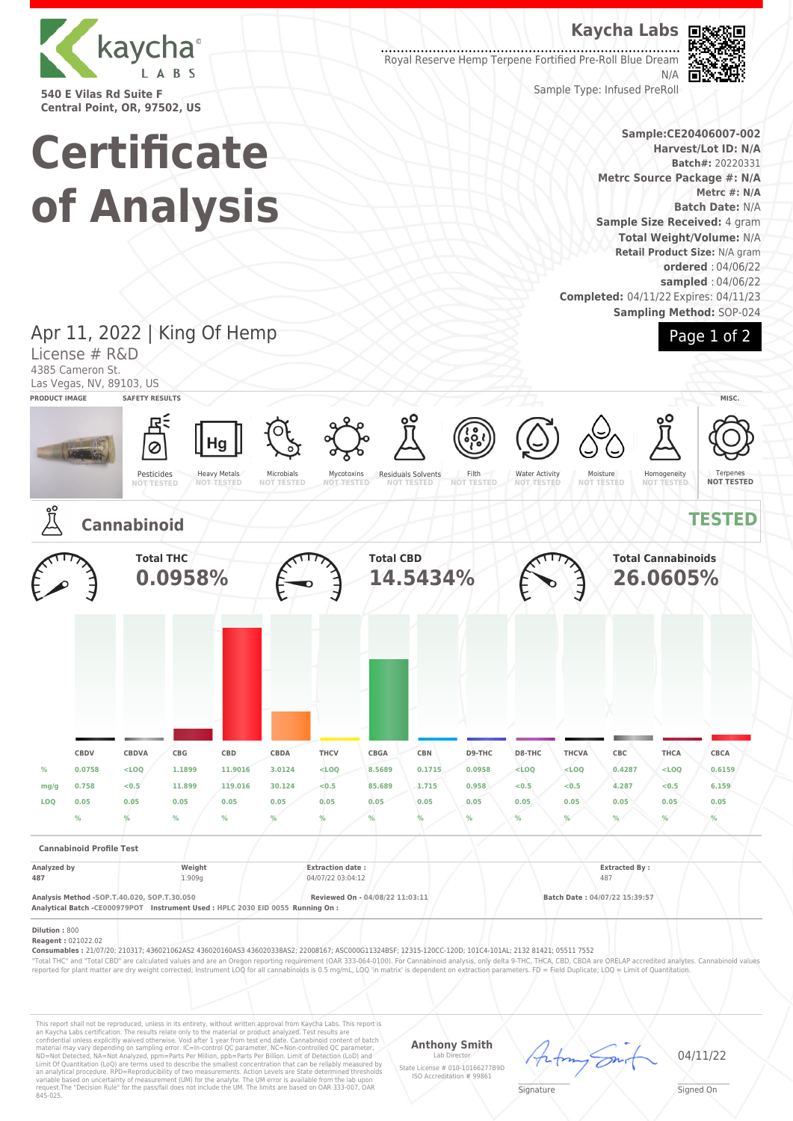

**540 E Vilas Rd Suite F Central Point, OR, 97502, US**

# **Kaycha Labs**

Royal Reserve Hemp Terpene Fortified Pre-Roll Blue Dream N/A



Sample Type: Infused PreRoll

## **Sample:CE20406007-002 Harvest/Lot ID: N/A Batch#:** 20220331 **Metrc Source Package #: N/A Metrc #: N/A Batch Date:** N/A **Sample Size Received:** 4 gram **Total Weight/Volume:** N/A **Retail Product Size:** N/A gram **ordered** : 04/06/22 **sampled** : 04/06/22

**Completed:** 04/11/22 Expires: 04/11/23 **Sampling Method:** SOP-024



# **Certificate of Analysis**

Apr 11, 2022 | King Of Hemp

|                                            | License # R&D<br>4385 Cameron St. |                                                                                                                                |        | $1.4$ $-2.7$ $-2.7$ $-1.7$ $-3$ $-1.7$ $-1.7$ |                                              |                                 |                                 |                                         |                             |                                                                                                                                                                                                                                                                                                                                                                             |               |                                       |                                  | uyu ± vi z                                                                                                                                                                                                                   |
|--------------------------------------------|-----------------------------------|--------------------------------------------------------------------------------------------------------------------------------|--------|-----------------------------------------------|----------------------------------------------|---------------------------------|---------------------------------|-----------------------------------------|-----------------------------|-----------------------------------------------------------------------------------------------------------------------------------------------------------------------------------------------------------------------------------------------------------------------------------------------------------------------------------------------------------------------------|---------------|---------------------------------------|----------------------------------|------------------------------------------------------------------------------------------------------------------------------------------------------------------------------------------------------------------------------|
| <b>PRODUCT IMAGE</b>                       |                                   | Las Vegas, NV, 89103, US<br><b>SAFETY RESULTS</b>                                                                              |        |                                               |                                              |                                 |                                 |                                         |                             |                                                                                                                                                                                                                                                                                                                                                                             |               |                                       |                                  | MISC.                                                                                                                                                                                                                        |
|                                            |                                   |                                                                                                                                |        |                                               |                                              |                                 |                                 |                                         |                             |                                                                                                                                                                                                                                                                                                                                                                             |               |                                       |                                  |                                                                                                                                                                                                                              |
|                                            |                                   | Pesticides<br><b>NOT TESTED</b>                                                                                                |        | <b>Heavy Metals</b><br><b>NOT-TESTED</b>      | Microbials<br><b>NOT TESTED</b>              | Mycotoxins<br><b>NOT-TESTED</b> |                                 | Residuals Solvents<br><b>NOT TESTED</b> | Filth<br><b>NOT TESTED</b>  | <b>Water Activity</b><br><b>NOT TESTED</b>                                                                                                                                                                                                                                                                                                                                  |               | Moisture<br><b>NOT TESTED</b>         | Homogeneity<br><b>NOT TESTED</b> | Terpenes<br><b>NOT TESTED</b>                                                                                                                                                                                                |
|                                            |                                   | <b>Cannabinoid</b>                                                                                                             |        |                                               |                                              |                                 |                                 |                                         |                             |                                                                                                                                                                                                                                                                                                                                                                             |               |                                       |                                  | <b>TESTED</b>                                                                                                                                                                                                                |
|                                            |                                   | <b>Total THC</b><br>0.0958%                                                                                                    |        |                                               | <b>Total CBD</b><br>14.5434%                 |                                 |                                 |                                         |                             |                                                                                                                                                                                                                                                                                                                                                                             |               | <b>Total Cannabinoids</b><br>26.0605% |                                  |                                                                                                                                                                                                                              |
|                                            |                                   |                                                                                                                                |        |                                               |                                              |                                 |                                 |                                         |                             |                                                                                                                                                                                                                                                                                                                                                                             |               |                                       |                                  |                                                                                                                                                                                                                              |
|                                            |                                   |                                                                                                                                |        |                                               |                                              |                                 |                                 |                                         |                             |                                                                                                                                                                                                                                                                                                                                                                             |               |                                       |                                  |                                                                                                                                                                                                                              |
|                                            | <b>CBDV</b>                       | CBDVA                                                                                                                          | CBG    | CBD                                           | CBDA                                         | THCV                            | CBGA                            | <b>CBN</b>                              | D9-THC                      | D8-THC                                                                                                                                                                                                                                                                                                                                                                      | <b>THCVA</b>  | CBC                                   | THCA                             | CBCA                                                                                                                                                                                                                         |
| %                                          | 0.0758                            | $<$ LOQ                                                                                                                        | 1.1899 | 11.9016                                       | 3.0124                                       | $<$ LOQ                         | 8.5689                          | 0.1715                                  | 0.0958                      | $<$ LOQ                                                                                                                                                                                                                                                                                                                                                                     | $<$ LOQ       | 0.4287                                | $<$ LOQ                          | 0.6159                                                                                                                                                                                                                       |
| mg/g                                       | 0.758                             | < 0.5                                                                                                                          | 11.899 | 119,016                                       | 30.124                                       | < 0.5                           | 85,689                          | 1.715                                   | 0.958                       | < 0.5                                                                                                                                                                                                                                                                                                                                                                       | < 0.5         | 4.287                                 | < 0.5                            | 6.159                                                                                                                                                                                                                        |
| LOQ                                        | 0.05                              | 0.05                                                                                                                           | 0.05   | 0.05                                          | 0.05                                         | 0.05                            | 0.05                            | 0.05                                    | 0.05                        | 0.05                                                                                                                                                                                                                                                                                                                                                                        | 0.05          | 0.05                                  | 0.05                             | 0.05                                                                                                                                                                                                                         |
|                                            | %                                 | $\frac{9}{6}$                                                                                                                  | $\%$   | %                                             | $\frac{9}{6}$                                | %                               |                                 | %                                       | %                           | $\frac{9}{6}$                                                                                                                                                                                                                                                                                                                                                               | $\frac{9}{6}$ | %                                     | $\%$                             | $\frac{9}{6}$                                                                                                                                                                                                                |
|                                            | <b>Cannabinoid Profile Test</b>   |                                                                                                                                |        |                                               |                                              |                                 |                                 |                                         |                             |                                                                                                                                                                                                                                                                                                                                                                             |               |                                       |                                  |                                                                                                                                                                                                                              |
| Analyzed by<br>487                         |                                   | Weight<br>1.909g                                                                                                               |        |                                               | <b>Extraction date:</b><br>04/07/22 03:04:12 |                                 |                                 |                                         | <b>Extracted By:</b><br>487 |                                                                                                                                                                                                                                                                                                                                                                             |               |                                       |                                  |                                                                                                                                                                                                                              |
|                                            |                                   | Analysis Method -SOP.T.40.020, SOP.T.30.050<br>Analytical Batch -CE000979POT Instrument Used : HPLC 2030 EID 0055 Running On : |        |                                               |                                              |                                 | Reviewed On - 04/08/22 11:03:11 |                                         |                             |                                                                                                                                                                                                                                                                                                                                                                             |               | Batch Date: 04/07/22 15:39:57         |                                  |                                                                                                                                                                                                                              |
| Dilution: 800<br><b>Reagent: 021022.02</b> |                                   |                                                                                                                                |        |                                               |                                              |                                 |                                 |                                         |                             | Consumables : 21/07/20; 210317; 436021062AS2 436020160AS3 436020338AS2; 22008167; ASC000G11324BSF; 12315-120CC-120D; 101C4-101AL; 2132 81421; 05511 7552<br>reported for plant matter are dry weight corrected; Instrument LOQ for all cannabinoids is 0.5 mg/mL, LOQ 'in matrix' is dependent on extraction parameters. FD = Field Duplicate; LOQ = Limit of Quantitation. |               |                                       |                                  | "Total THC" and "Total CBD" are calculated values and are an Oregon reporting requirement (OAR 333-064-0100). For Cannabinoid analysis, only delta 9-THC, THCA, CBD, CBDA are ORELAP accredited analytes. Cannabinoid values |
|                                            |                                   |                                                                                                                                |        |                                               |                                              |                                 |                                 |                                         |                             |                                                                                                                                                                                                                                                                                                                                                                             |               |                                       |                                  |                                                                                                                                                                                                                              |

This report shall not be reproduced, unless in its entirety, without written approval from Kaycha Labs. This report is<br>an Kaycha Labs certification. The results relate only to the material or product analyzed. Test result

**Anthony Smith**

Lab Director State License # 010-10166277B9D ISO Accreditation # 99861



04/11/22

 $\mathscr{L}\setminus\mathscr{L}$ **Signature** 

\_\_\_\_\_\_\_\_\_\_\_\_\_\_\_\_\_\_\_ Signed On